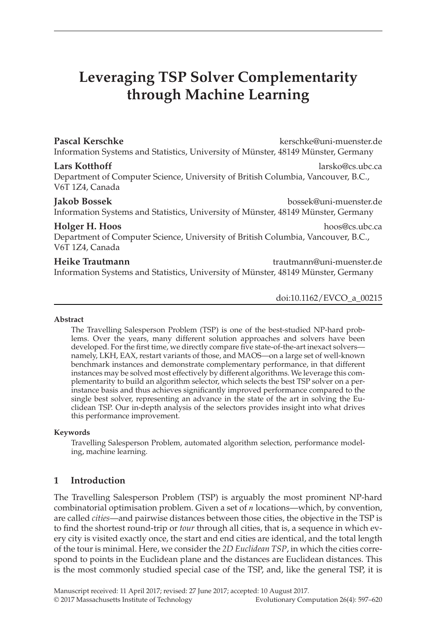# **Leveraging TSP Solver Complementarity through Machine Learning**

**Pascal Kerschke** [kerschke@uni-muenster.de](mailto:kerschke@uni-muenster.de)

Information Systems and Statistics, University of Münster, 48149 Münster, Germany **Lars Kotthoff** large large large large large large large large large large large large large large large large large large large large large large large large large large large large large large large large large large la Department of Computer Science, University of British Columbia, Vancouver, B.C., V6T 1Z4, Canada **Jakob Bossek** [bossek@uni-muenster.de](mailto:bossek@uni-muenster.de) Information Systems and Statistics, University of Münster, 48149 Münster, Germany **Holger H. Hoos hoos hoos** hoos **hoos** hoos **hoos** hoos **hoos** hoos **hoos** hoos **hoos** hoos **hoos** hoos **hoos** hoos **hoos** hoos **hoos** hoos **hoos** hoos **hoos** hoos **hoos** hoos **hoos** hoos **hoos** hoos **hoos** hood hood h Department of Computer Science, University of British Columbia, Vancouver, B.C., V6T 1Z4, Canada **Heike Trautmann** [trautmann@uni-muenster.de](mailto:trautmann@uni-muenster.de) Information Systems and Statistics, University of Münster, 48149 Münster, Germany

doi:10.1162/EVCO\_a\_00215

#### **Abstract**

The Travelling Salesperson Problem (TSP) is one of the best-studied NP-hard problems. Over the years, many different solution approaches and solvers have been developed. For the first time, we directly compare five state-of-the-art inexact solvers namely, LKH, EAX, restart variants of those, and MAOS—on a large set of well-known benchmark instances and demonstrate complementary performance, in that different instances may be solved most effectively by different algorithms. We leverage this complementarity to build an algorithm selector, which selects the best TSP solver on a perinstance basis and thus achieves significantly improved performance compared to the single best solver, representing an advance in the state of the art in solving the Euclidean TSP. Our in-depth analysis of the selectors provides insight into what drives this performance improvement.

#### **Keywords**

Travelling Salesperson Problem, automated algorithm selection, performance modeling, machine learning.

## **1 Introduction**

The Travelling Salesperson Problem (TSP) is arguably the most prominent NP-hard combinatorial optimisation problem. Given a set of *n* locations—which, by convention, are called *cities*—and pairwise distances between those cities, the objective in the TSP is to find the shortest round-trip or *tour* through all cities, that is, a sequence in which every city is visited exactly once, the start and end cities are identical, and the total length of the tour is minimal. Here, we consider the *2D Euclidean TSP*, in which the cities correspond to points in the Euclidean plane and the distances are Euclidean distances. This is the most commonly studied special case of the TSP, and, like the general TSP, it is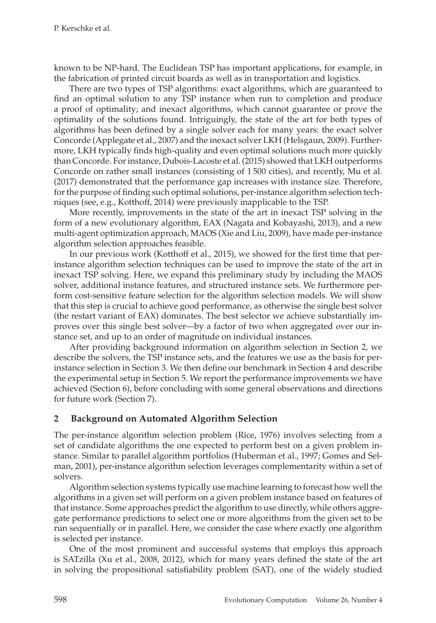known to be NP-hard. The Euclidean TSP has important applications, for example, in the fabrication of printed circuit boards as well as in transportation and logistics.

There are two types of TSP algorithms: exact algorithms, which are guaranteed to find an optimal solution to any TSP instance when run to completion and produce a proof of optimality; and inexact algorithms, which cannot guarantee or prove the optimality of the solutions found. Intriguingly, the state of the art for both types of algorithms has been defined by a single solver each for many years: the exact solver Concorde (Applegate et al., [2007\)](#page-20-0) and the inexact solver LKH (Helsgaun, [2009\)](#page-21-0). Furthermore, LKH typically finds high-quality and even optimal solutions much more quickly than Concorde. For instance, Dubois-Lacoste et al. [\(2015\)](#page-21-0) showed that LKH outperforms Concorde on rather small instances (consisting of 1 500 cities), and recently, Mu et al. [\(2017\)](#page-22-0) demonstrated that the performance gap increases with instance size. Therefore, for the purpose of finding such optimal solutions, per-instance algorithm selection techniques (see, e.g., Kotthoff, [2014\)](#page-21-0) were previously inapplicable to the TSP.

More recently, improvements in the state of the art in inexact TSP solving in the form of a new evolutionary algorithm, EAX (Nagata and Kobayashi, [2013\)](#page-22-0), and a new multi-agent optimization approach, MAOS (Xie and Liu, [2009\)](#page-23-0), have made per-instance algorithm selection approaches feasible.

In our previous work (Kotthoff et al., [2015\)](#page-21-0), we showed for the first time that perinstance algorithm selection techniques can be used to improve the state of the art in inexact TSP solving. Here, we expand this preliminary study by including the MAOS solver, additional instance features, and structured instance sets. We furthermore perform cost-sensitive feature selection for the algorithm selection models. We will show that this step is crucial to achieve good performance, as otherwise the single best solver (the restart variant of EAX) dominates. The best selector we achieve substantially improves over this single best solver—by a factor of two when aggregated over our instance set, and up to an order of magnitude on individual instances.

After providing background information on algorithm selection in Section 2, we describe the solvers, the TSP instance sets, and the features we use as the basis for perinstance selection in Section 3. We then define our benchmark in Section 4 and describe the experimental setup in Section 5. We report the performance improvements we have achieved (Section 6), before concluding with some general observations and directions for future work (Section 7).

## **2 Background on Automated Algorithm Selection**

The per-instance algorithm selection problem (Rice, [1976\)](#page-22-0) involves selecting from a set of candidate algorithms the one expected to perform best on a given problem instance. Similar to parallel algorithm portfolios (Huberman et al., [1997;](#page-21-0) Gomes and Selman, [2001\)](#page-21-0), per-instance algorithm selection leverages complementarity within a set of solvers.

Algorithm selection systems typically use machine learning to forecast how well the algorithms in a given set will perform on a given problem instance based on features of that instance. Some approaches predict the algorithm to use directly, while others aggregate performance predictions to select one or more algorithms from the given set to be run sequentially or in parallel. Here, we consider the case where exactly one algorithm is selected per instance.

One of the most prominent and successful systems that employs this approach is SATzilla (Xu et al., [2008, 2012\)](#page-23-0), which for many years defined the state of the art in solving the propositional satisfiability problem (SAT), one of the widely studied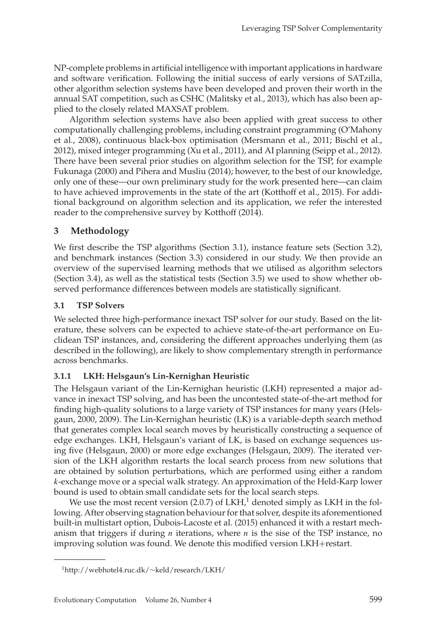NP-complete problems in artificial intelligence with important applications in hardware and software verification. Following the initial success of early versions of SATzilla, other algorithm selection systems have been developed and proven their worth in the annual SAT competition, such as CSHC (Malitsky et al., [2013\)](#page-22-0), which has also been applied to the closely related MAXSAT problem.

Algorithm selection systems have also been applied with great success to other computationally challenging problems, including constraint programming (O'Mahony et al., [2008\)](#page-22-0), continuous black-box optimisation (Mersmann et al., [2011;](#page-22-0) Bischl et al., [2012\)](#page-21-0), mixed integer programming (Xu et al., [2011\)](#page-23-0), and AI planning (Seipp et al., [2012\)](#page-22-0). There have been several prior studies on algorithm selection for the TSP, for example Fukunaga [\(2000\)](#page-21-0) and Pihera and Musliu (2014); however, to the best of our knowledge, only one of these—our own preliminary study for the work presented here—can claim to have achieved improvements in the state of the art (Kotthoff et al., [2015\)](#page-21-0). For additional background on algorithm selection and its application, we refer the interested reader to the comprehensive survey by Kotthoff [\(2014\)](#page-21-0).

# **3 Methodology**

We first describe the TSP algorithms (Section 3.1), instance feature sets (Section 3.2), and benchmark instances (Section 3.3) considered in our study. We then provide an overview of the supervised learning methods that we utilised as algorithm selectors (Section 3.4), as well as the statistical tests (Section 3.5) we used to show whether observed performance differences between models are statistically significant.

# **3.1 TSP Solvers**

We selected three high-performance inexact TSP solver for our study. Based on the literature, these solvers can be expected to achieve state-of-the-art performance on Euclidean TSP instances, and, considering the different approaches underlying them (as described in the following), are likely to show complementary strength in performance across benchmarks.

# **3.1.1 LKH: Helsgaun's Lin-Kernighan Heuristic**

The Helsgaun variant of the Lin-Kernighan heuristic (LKH) represented a major advance in inexact TSP solving, and has been the uncontested state-of-the-art method for finding high-quality solutions to a large variety of TSP instances for many years (Helsgaun, [2000, 2009\)](#page-21-0). The Lin-Kernighan heuristic (LK) is a variable-depth search method that generates complex local search moves by heuristically constructing a sequence of edge exchanges. LKH, Helsgaun's variant of LK, is based on exchange sequences using five (Helsgaun, [2000\)](#page-21-0) or more edge exchanges (Helsgaun, [2009\)](#page-21-0). The iterated version of the LKH algorithm restarts the local search process from new solutions that are obtained by solution perturbations, which are performed using either a random *k*-exchange move or a special walk strategy. An approximation of the Held-Karp lower bound is used to obtain small candidate sets for the local search steps.

We use the most recent version (2.0.7) of  $LKH<sup>1</sup>$  denoted simply as LKH in the following. After observing stagnation behaviour for that solver, despite its aforementioned built-in multistart option, Dubois-Lacoste et al. [\(2015\)](#page-21-0) enhanced it with a restart mechanism that triggers if during *n* iterations, where *n* is the sise of the TSP instance, no improving solution was found. We denote this modified version LKH+restart.

[<sup>1</sup>http://webhotel4.ruc.dk/](http://webhotel4.ruc.dk/~keld/research/LKH/)∼keld/research/LKH/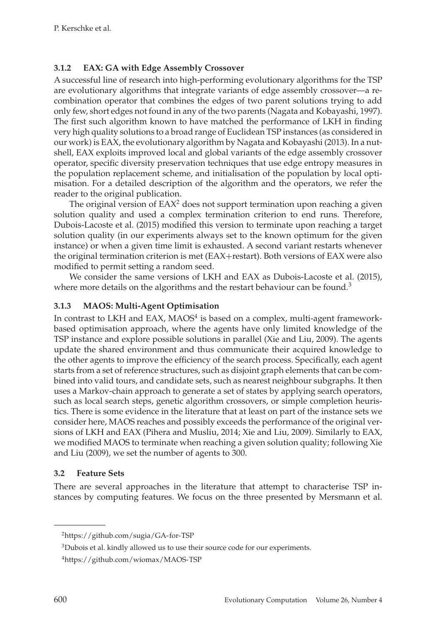## **3.1.2 EAX: GA with Edge Assembly Crossover**

A successful line of research into high-performing evolutionary algorithms for the TSP are evolutionary algorithms that integrate variants of edge assembly crossover—a recombination operator that combines the edges of two parent solutions trying to add only few, short edges not found in any of the two parents (Nagata and Kobayashi, [1997\)](#page-22-0). The first such algorithm known to have matched the performance of LKH in finding very high quality solutions to a broad range of Euclidean TSP instances (as considered in our work) is EAX, the evolutionary algorithm by Nagata and Kobayashi [\(2013\)](#page-22-0). In a nutshell, EAX exploits improved local and global variants of the edge assembly crossover operator, specific diversity preservation techniques that use edge entropy measures in the population replacement scheme, and initialisation of the population by local optimisation. For a detailed description of the algorithm and the operators, we refer the reader to the original publication.

The original version of  $EAX^2$  does not support termination upon reaching a given solution quality and used a complex termination criterion to end runs. Therefore, Dubois-Lacoste et al. [\(2015\)](#page-21-0) modified this version to terminate upon reaching a target solution quality (in our experiments always set to the known optimum for the given instance) or when a given time limit is exhausted. A second variant restarts whenever the original termination criterion is met (EAX+restart). Both versions of EAX were also modified to permit setting a random seed.

We consider the same versions of LKH and EAX as Dubois-Lacoste et al. [\(2015\)](#page-21-0), where more details on the algorithms and the restart behaviour can be found.<sup>3</sup>

#### **3.1.3 MAOS: Multi-Agent Optimisation**

In contrast to LKH and EAX, MAOS<sup>4</sup> is based on a complex, multi-agent frameworkbased optimisation approach, where the agents have only limited knowledge of the TSP instance and explore possible solutions in parallel (Xie and Liu, [2009\)](#page-23-0). The agents update the shared environment and thus communicate their acquired knowledge to the other agents to improve the efficiency of the search process. Specifically, each agent starts from a set of reference structures, such as disjoint graph elements that can be combined into valid tours, and candidate sets, such as nearest neighbour subgraphs. It then uses a Markov-chain approach to generate a set of states by applying search operators, such as local search steps, genetic algorithm crossovers, or simple completion heuristics. There is some evidence in the literature that at least on part of the instance sets we consider here, MAOS reaches and possibly exceeds the performance of the original versions of LKH and EAX (Pihera and Musliu, [2014;](#page-22-0) Xie and Liu, [2009\)](#page-23-0). Similarly to EAX, we modified MAOS to terminate when reaching a given solution quality; following Xie and Liu [\(2009\)](#page-23-0), we set the number of agents to 300.

#### **3.2 Feature Sets**

There are several approaches in the literature that attempt to characterise TSP instances by computing features. We focus on the three presented by Mersmann et al.

<sup>3</sup>Dubois et al. kindly allowed us to use their source code for our experiments.

[<sup>2</sup>https://github.com/sugia/GA-for-TSP](https://github.com/sugia/GA-for-TSP)

[<sup>4</sup>https://github.com/wiomax/MAOS-TSP](https://github.com/wiomax/MAOS-TSP)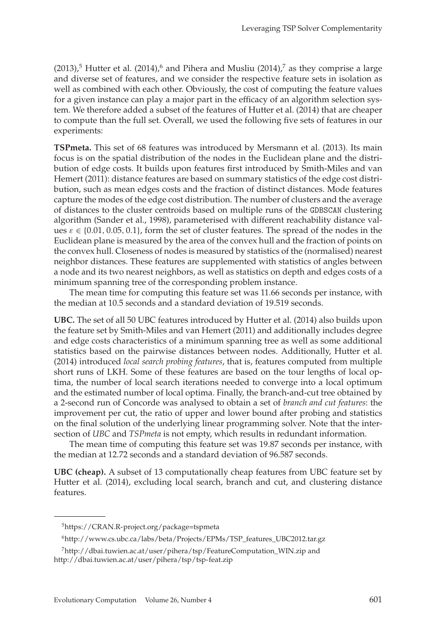$(2013)<sup>5</sup>$  $(2013)<sup>5</sup>$  Hutter et al. [\(2014\)](#page-22-0),<sup>6</sup> and Pihera and Musliu (2014),<sup>7</sup> as they comprise a large and diverse set of features, and we consider the respective feature sets in isolation as well as combined with each other. Obviously, the cost of computing the feature values for a given instance can play a major part in the efficacy of an algorithm selection system. We therefore added a subset of the features of Hutter et al. [\(2014\)](#page-21-0) that are cheaper to compute than the full set. Overall, we used the following five sets of features in our experiments:

**TSPmeta.** This set of 68 features was introduced by Mersmann et al. [\(2013\)](#page-22-0). Its main focus is on the spatial distribution of the nodes in the Euclidean plane and the distribution of edge costs. It builds upon features first introduced by Smith-Miles and van Hemert [\(2011\)](#page-23-0): distance features are based on summary statistics of the edge cost distribution, such as mean edges costs and the fraction of distinct distances. Mode features capture the modes of the edge cost distribution. The number of clusters and the average of distances to the cluster centroids based on multiple runs of the GDBSCAN clustering algorithm (Sander et al., [1998\)](#page-22-0), parameterised with different reachability distance values  $\varepsilon \in \{0.01, 0.05, 0.1\}$ , form the set of cluster features. The spread of the nodes in the Euclidean plane is measured by the area of the convex hull and the fraction of points on the convex hull. Closeness of nodes is measured by statistics of the (normalised) nearest neighbor distances. These features are supplemented with statistics of angles between a node and its two nearest neighbors, as well as statistics on depth and edges costs of a minimum spanning tree of the corresponding problem instance.

The mean time for computing this feature set was 11.66 seconds per instance, with the median at 10.5 seconds and a standard deviation of 19.519 seconds.

**UBC.** The set of all 50 UBC features introduced by Hutter et al. [\(2014\)](#page-21-0) also builds upon the feature set by Smith-Miles and van Hemert [\(2011\)](#page-23-0) and additionally includes degree and edge costs characteristics of a minimum spanning tree as well as some additional statistics based on the pairwise distances between nodes. Additionally, Hutter et al. [\(2014\)](#page-21-0) introduced *local search probing features*, that is, features computed from multiple short runs of LKH. Some of these features are based on the tour lengths of local optima, the number of local search iterations needed to converge into a local optimum and the estimated number of local optima. Finally, the branch-and-cut tree obtained by a 2-second run of Concorde was analysed to obtain a set of *branch and cut features*: the improvement per cut, the ratio of upper and lower bound after probing and statistics on the final solution of the underlying linear programming solver. Note that the intersection of *UBC* and *TSPmeta* is not empty, which results in redundant information.

The mean time of computing this feature set was 19.87 seconds per instance, with the median at 12.72 seconds and a standard deviation of 96.587 seconds.

**UBC (cheap).** A subset of 13 computationally cheap features from UBC feature set by Hutter et al. [\(2014\)](#page-21-0), excluding local search, branch and cut, and clustering distance features.

[<sup>5</sup>https://CRAN.R-project.org/package=tspmeta](https://CRAN.R-project.org/package=tspmeta)

<sup>&</sup>lt;sup>6</sup>http://www.cs.ubc.ca/labs/beta/Projects/EPMs/TSP\_features\_UBC2012.tar.gz

[<sup>7</sup>http://dbai.tuwien.ac.at/user/pihera/tsp/FeatureComputation\\_WIN.zip](http://dbai.tuwien.ac.at/user/pihera/tsp/FeatureComputation_WIN.zip) and <http://dbai.tuwien.ac.at/user/pihera/tsp/tsp-feat.zip>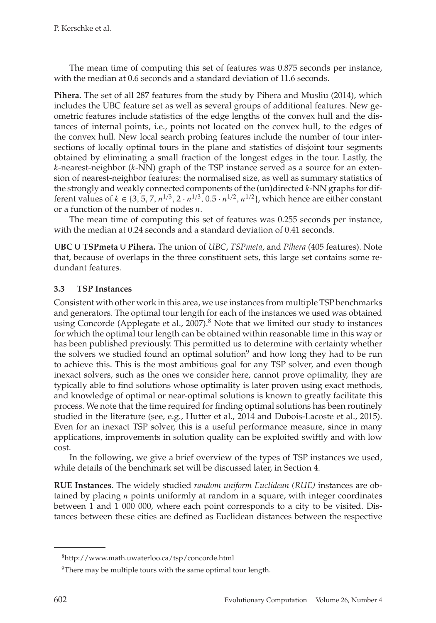P. Kerschke et al.

The mean time of computing this set of features was 0.875 seconds per instance, with the median at 0.6 seconds and a standard deviation of 11.6 seconds.

**Pihera.** The set of all 287 features from the study by Pihera and Musliu [\(2014\)](#page-22-0), which includes the UBC feature set as well as several groups of additional features. New geometric features include statistics of the edge lengths of the convex hull and the distances of internal points, i.e., points not located on the convex hull, to the edges of the convex hull. New local search probing features include the number of tour intersections of locally optimal tours in the plane and statistics of disjoint tour segments obtained by eliminating a small fraction of the longest edges in the tour. Lastly, the *k*-nearest-neighbor (*k*-NN) graph of the TSP instance served as a source for an extension of nearest-neighbor features: the normalised size, as well as summary statistics of the strongly and weakly connected components of the (un)directed *k*-NN graphs for different values of *k* ∈ {3, 5, 7,  $n^{1/3}$ , 2 ·  $n^{1/3}$ , 0.5 ·  $n^{1/2}$ ,  $n^{1/2}$ }, which hence are either constant or a function of the number of nodes *n*.

The mean time of computing this set of features was 0.255 seconds per instance, with the median at 0.24 seconds and a standard deviation of 0.41 seconds.

**UBC ∪ TSPmeta ∪ Pihera.** The union of *UBC*, *TSPmeta*, and *Pihera* (405 features). Note that, because of overlaps in the three constituent sets, this large set contains some redundant features.

#### **3.3 TSP Instances**

Consistent with other work in this area, we use instances from multiple TSP benchmarks and generators. The optimal tour length for each of the instances we used was obtained using Concorde (Applegate et al., [2007\)](#page-20-0).<sup>8</sup> Note that we limited our study to instances for which the optimal tour length can be obtained within reasonable time in this way or has been published previously. This permitted us to determine with certainty whether the solvers we studied found an optimal solution<sup>9</sup> and how long they had to be run to achieve this. This is the most ambitious goal for any TSP solver, and even though inexact solvers, such as the ones we consider here, cannot prove optimality, they are typically able to find solutions whose optimality is later proven using exact methods, and knowledge of optimal or near-optimal solutions is known to greatly facilitate this process. We note that the time required for finding optimal solutions has been routinely studied in the literature (see, e.g., Hutter et al., [2014](#page-21-0) and Dubois-Lacoste et al., [2015\)](#page-21-0). Even for an inexact TSP solver, this is a useful performance measure, since in many applications, improvements in solution quality can be exploited swiftly and with low cost.

In the following, we give a brief overview of the types of TSP instances we used, while details of the benchmark set will be discussed later, in Section 4.

**RUE Instances**. The widely studied *random uniform Euclidean (RUE)* instances are obtained by placing *n* points uniformly at random in a square, with integer coordinates between 1 and 1 000 000, where each point corresponds to a city to be visited. Distances between these cities are defined as Euclidean distances between the respective

[<sup>8</sup>http://www.math.uwaterloo.ca/tsp/concorde.html](http://www.math.uwaterloo.ca/tsp/concorde.html)

<sup>&</sup>lt;sup>9</sup>There may be multiple tours with the same optimal tour length.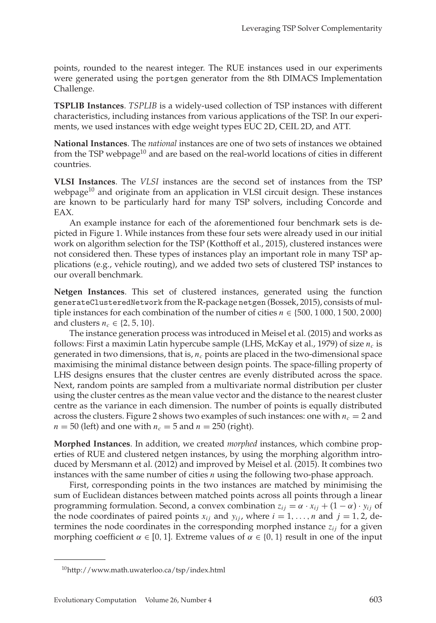points, rounded to the nearest integer. The RUE instances used in our experiments were generated using the portgen generator from the 8th DIMACS Implementation Challenge.

**TSPLIB Instances**. *TSPLIB* is a widely-used collection of TSP instances with different characteristics, including instances from various applications of the TSP. In our experiments, we used instances with edge weight types EUC 2D, CEIL 2D, and ATT.

**National Instances**. The *national* instances are one of two sets of instances we obtained from the TSP webpage<sup>10</sup> and are based on the real-world locations of cities in different countries.

**VLSI Instances**. The *VLSI* instances are the second set of instances from the TSP webpage<sup>10</sup> and originate from an application in VLSI circuit design. These instances are known to be particularly hard for many TSP solvers, including Concorde and EAX.

An example instance for each of the aforementioned four benchmark sets is depicted in Figure 1. While instances from these four sets were already used in our initial work on algorithm selection for the TSP (Kotthoff et al., [2015\)](#page-21-0), clustered instances were not considered then. These types of instances play an important role in many TSP applications (e.g., vehicle routing), and we added two sets of clustered TSP instances to our overall benchmark.

**Netgen Instances**. This set of clustered instances, generated using the function generateClusteredNetwork from the R-package netgen (Bossek, [2015\)](#page-21-0), consists of multiple instances for each combination of the number of cities  $n \in \{500, 1000, 1500, 2000\}$ and clusters  $n_c \in \{2, 5, 10\}$ .

The instance generation process was introduced in Meisel et al. [\(2015\)](#page-22-0) and works as follows: First a maximin Latin hypercube sample (LHS, McKay et al., [1979\)](#page-22-0) of size  $n_c$  is generated in two dimensions, that is,  $n_c$  points are placed in the two-dimensional space maximising the minimal distance between design points. The space-filling property of LHS designs ensures that the cluster centres are evenly distributed across the space. Next, random points are sampled from a multivariate normal distribution per cluster using the cluster centres as the mean value vector and the distance to the nearest cluster centre as the variance in each dimension. The number of points is equally distributed across the clusters. Figure 2 shows two examples of such instances: one with  $n_c = 2$  and  $n = 50$  (left) and one with  $n_c = 5$  and  $n = 250$  (right).

**Morphed Instances**. In addition, we created *morphed* instances, which combine properties of RUE and clustered netgen instances, by using the morphing algorithm introduced by Mersmann et al. [\(2012\)](#page-22-0) and improved by Meisel et al. [\(2015\)](#page-22-0). It combines two instances with the same number of cities *n* using the following two-phase approach.

First, corresponding points in the two instances are matched by minimising the sum of Euclidean distances between matched points across all points through a linear programming formulation. Second, a convex combination  $z_{ij} = \alpha \cdot x_{ij} + (1 - \alpha) \cdot y_{ij}$  of the node coordinates of paired points  $x_{ij}$  and  $y_{ij}$ , where  $i = 1, \ldots, n$  and  $j = 1, 2,$  determines the node coordinates in the corresponding morphed instance *zij* for a given morphing coefficient  $\alpha \in [0, 1]$ . Extreme values of  $\alpha \in \{0, 1\}$  result in one of the input

<sup>1</sup>[0http://www.math.uwaterloo.ca/tsp/index.html](http://www.math.uwaterloo.ca/tsp/index.html)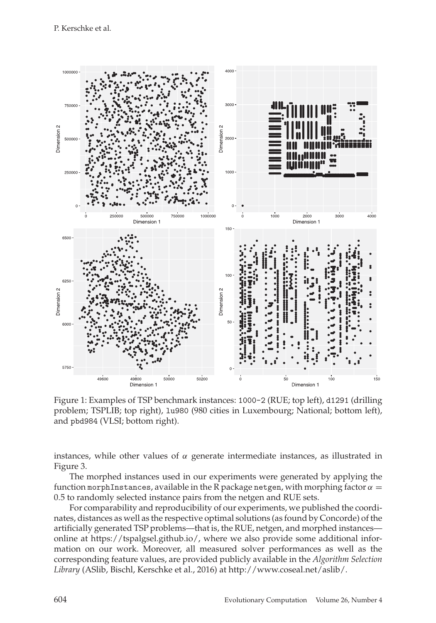P. Kerschke et al.



Figure 1: Examples of TSP benchmark instances: 1000-2 (RUE; top left), d1291 (drilling problem; TSPLIB; top right), lu980 (980 cities in Luxembourg; National; bottom left), and pbd984 (VLSI; bottom right).

instances, while other values of *α* generate intermediate instances, as illustrated in Figure 3.

The morphed instances used in our experiments were generated by applying the function morphInstances, available in the R package netgen, with morphing factor  $\alpha =$ 0*.*5 to randomly selected instance pairs from the netgen and RUE sets.

For comparability and reproducibility of our experiments, we published the coordinates, distances as well as the respective optimal solutions (as found by Concorde) of the artificially generated TSP problems—that is, the RUE, netgen, and morphed instances online at [https://tspalgsel.github.io/,](https://tspalgsel.github.io/) where we also provide some additional information on our work. Moreover, all measured solver performances as well as the corresponding feature values, are provided publicly available in the *Algorithm Selection Library* (ASlib, Bischl, Kerschke et al., 2016) at [http://www.coseal.net/aslib/.](http://www.coseal.net/aslib/)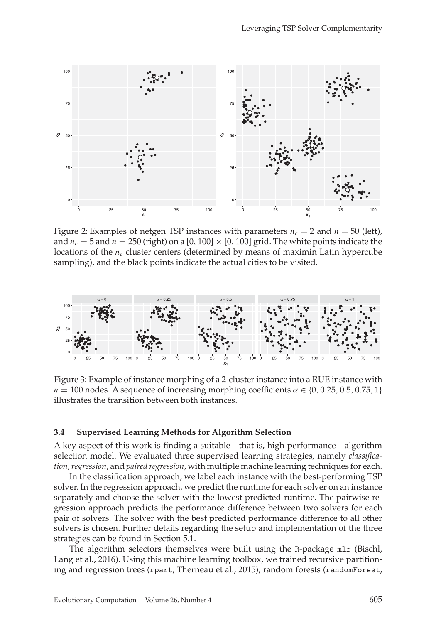

Figure 2: Examples of netgen TSP instances with parameters  $n_c = 2$  and  $n = 50$  (left), and  $n_c = 5$  and  $n = 250$  (right) on a [0, 100]  $\times$  [0, 100] grid. The white points indicate the locations of the *nc* cluster centers (determined by means of maximin Latin hypercube sampling), and the black points indicate the actual cities to be visited.



Figure 3: Example of instance morphing of a 2-cluster instance into a RUE instance with  $n = 100$  nodes. A sequence of increasing morphing coefficients  $\alpha \in \{0, 0.25, 0.5, 0.75, 1\}$ illustrates the transition between both instances.

#### **3.4 Supervised Learning Methods for Algorithm Selection**

A key aspect of this work is finding a suitable—that is, high-performance—algorithm selection model. We evaluated three supervised learning strategies, namely *classification*,*regression*, and *paired regression*, with multiple machine learning techniques for each.

In the classification approach, we label each instance with the best-performing TSP solver. In the regression approach, we predict the runtime for each solver on an instance separately and choose the solver with the lowest predicted runtime. The pairwise regression approach predicts the performance difference between two solvers for each pair of solvers. The solver with the best predicted performance difference to all other solvers is chosen. Further details regarding the setup and implementation of the three strategies can be found in Section 5.1.

The algorithm selectors themselves were built using the R-package mlr (Bischl, Lang et al., [2016\)](#page-20-0). Using this machine learning toolbox, we trained recursive partitioning and regression trees (rpart, Therneau et al., [2015\)](#page-23-0), random forests (randomForest,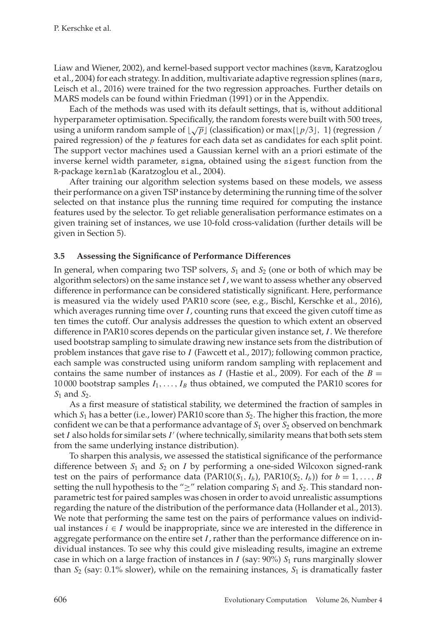Liaw and Wiener, [2002\)](#page-21-0), and kernel-based support vector machines (ksvm, Karatzoglou et al., [2004\)](#page-21-0) for each strategy. In addition, multivariate adaptive regression splines (mars, Leisch et al., [2016\)](#page-21-0) were trained for the two regression approaches. Further details on MARS models can be found within Friedman [\(1991\)](#page-21-0) or in the Appendix.

Each of the methods was used with its default settings, that is, without additional hyperparameter optimisation. Specifically, the random forests were built with 500 trees, using a uniform random sample of <sup>√</sup>*p* (classification) or max{*p/*3*,* <sup>1</sup>} (regression / paired regression) of the *p* features for each data set as candidates for each split point. The support vector machines used a Gaussian kernel with an a priori estimate of the inverse kernel width parameter, sigma, obtained using the sigest function from the R-package kernlab (Karatzoglou et al., [2004\)](#page-21-0).

After training our algorithm selection systems based on these models, we assess their performance on a given TSP instance by determining the running time of the solver selected on that instance plus the running time required for computing the instance features used by the selector. To get reliable generalisation performance estimates on a given training set of instances, we use 10-fold cross-validation (further details will be given in Section 5).

#### **3.5 Assessing the Significance of Performance Differences**

In general, when comparing two TSP solvers, *S*<sup>1</sup> and *S*<sup>2</sup> (one or both of which may be algorithm selectors) on the same instance set *I* , we want to assess whether any observed difference in performance can be considered statistically significant. Here, performance is measured via the widely used PAR10 score (see, e.g., Bischl, Kerschke et al., 2016), which averages running time over *I* , counting runs that exceed the given cutoff time as ten times the cutoff. Our analysis addresses the question to which extent an observed difference in PAR10 scores depends on the particular given instance set, *I* . We therefore used bootstrap sampling to simulate drawing new instance sets from the distribution of problem instances that gave rise to *I* (Fawcett et al., [2017\)](#page-21-0); following common practice, each sample was constructed using uniform random sampling with replacement and contains the same number of instances as *I* (Hastie et al., [2009\)](#page-21-0). For each of the  $B =$ 10 000 bootstrap samples  $I_1, \ldots, I_B$  thus obtained, we computed the PAR10 scores for *S*<sup>1</sup> and *S*<sup>2</sup>.

As a first measure of statistical stability, we determined the fraction of samples in which *S*<sup>1</sup> has a better (i.e., lower) PAR10 score than *S*2. The higher this fraction, the more confident we can be that a performance advantage of *S*<sup>1</sup> over *S*<sup>2</sup> observed on benchmark set *I* also holds for similar sets *I* (where technically, similarity means that both sets stem from the same underlying instance distribution).

To sharpen this analysis, we assessed the statistical significance of the performance difference between  $S_1$  and  $S_2$  on  $I$  by performing a one-sided Wilcoxon signed-rank test on the pairs of performance data (PAR10( $S_1$ ,  $I_b$ ), PAR10( $S_2$ ,  $I_b$ )) for  $b = 1, \ldots, B$ setting the null hypothesis to the " $\geq$ " relation comparing  $S_1$  and  $S_2$ . This standard nonparametric test for paired samples was chosen in order to avoid unrealistic assumptions regarding the nature of the distribution of the performance data (Hollander et al., [2013\)](#page-21-0). We note that performing the same test on the pairs of performance values on individual instances  $i \in I$  would be inappropriate, since we are interested in the difference in aggregate performance on the entire set *I* , rather than the performance difference on individual instances. To see why this could give misleading results, imagine an extreme case in which on a large fraction of instances in *I* (say:  $90\%$ ) *S*<sub>1</sub> runs marginally slower than  $S_2$  (say: 0.1% slower), while on the remaining instances,  $S_1$  is dramatically faster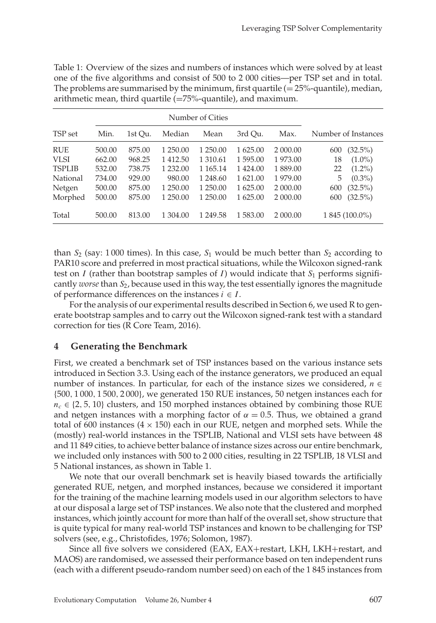| Table 1: Overview of the sizes and numbers of instances which were solved by at least    |
|------------------------------------------------------------------------------------------|
| one of the five algorithms and consist of 500 to 2 000 cities—per TSP set and in total.  |
| The problems are summarised by the minimum, first quartile $(= 25\%$ -quantile), median, |
| arithmetic mean, third quartile $(=75\%$ -quantile), and maximum.                        |

| TSP set       | Min.   | 1st Ou. | Median   | Mean          | 3rd Ou.  | Max.     | Number of Instances |  |  |
|---------------|--------|---------|----------|---------------|----------|----------|---------------------|--|--|
| <b>RUE</b>    | 500.00 | 875.00  | 1 250.00 | 1 250.00      | 1 625.00 | 2 000.00 | $(32.5\%)$<br>600   |  |  |
| <b>VLSI</b>   | 662.00 | 968.25  | 1412.50  | 1 3 1 0 . 6 1 | 1 595.00 | 1973.00  | $(1.0\%)$<br>18     |  |  |
| <b>TSPLIB</b> | 532.00 | 738.75  | 1 232.00 | 1 1 65.14     | 1424.00  | 1 889.00 | $(1.2\%)$<br>22     |  |  |
| National      | 734.00 | 929.00  | 980.00   | 1 248.60      | 1 621.00 | 1979.00  | $(0.3\%)$<br>5      |  |  |
| Netgen        | 500.00 | 875.00  | 1 250.00 | 1 250.00      | 1 625.00 | 2 000.00 | $(32.5\%)$<br>600   |  |  |
| Morphed       | 500.00 | 875.00  | 1 250.00 | 1 250.00      | 1 625.00 | 2 000.00 | $(32.5\%)$<br>600   |  |  |
| Total         | 500.00 | 813.00  | 1 304.00 | 1 249.58      | 1 583.00 | 2 000.00 | $1845(100.0\%)$     |  |  |

than  $S_2$  (say: 1000 times). In this case,  $S_1$  would be much better than  $S_2$  according to PAR10 score and preferred in most practical situations, while the Wilcoxon signed-rank test on *I* (rather than bootstrap samples of *I*) would indicate that  $S_1$  performs significantly *worse*than *S*2, because used in this way, the test essentially ignores the magnitude of performance differences on the instances  $i \in I$ .

For the analysis of our experimental results described in Section 6, we used R to generate bootstrap samples and to carry out the Wilcoxon signed-rank test with a standard correction for ties (R Core Team, [2016\)](#page-22-0).

# **4 Generating the Benchmark**

First, we created a benchmark set of TSP instances based on the various instance sets introduced in Section 3.3. Using each of the instance generators, we produced an equal number of instances. In particular, for each of the instance sizes we considered,  $n \in$ {500*,* 1 000*,* 1 500*,* 2 000}, we generated 150 RUE instances, 50 netgen instances each for  $n_c \in \{2, 5, 10\}$  clusters, and 150 morphed instances obtained by combining those RUE and netgen instances with a morphing factor of  $\alpha = 0.5$ . Thus, we obtained a grand total of 600 instances  $(4 \times 150)$  each in our RUE, netgen and morphed sets. While the (mostly) real-world instances in the TSPLIB, National and VLSI sets have between 48 and 11 849 cities, to achieve better balance of instance sizes across our entire benchmark, we included only instances with 500 to 2 000 cities, resulting in 22 TSPLIB, 18 VLSI and 5 National instances, as shown in Table 1.

We note that our overall benchmark set is heavily biased towards the artificially generated RUE, netgen, and morphed instances, because we considered it important for the training of the machine learning models used in our algorithm selectors to have at our disposal a large set of TSP instances. We also note that the clustered and morphed instances, which jointly account for more than half of the overall set, show structure that is quite typical for many real-world TSP instances and known to be challenging for TSP solvers (see, e.g., Christofides, [1976;](#page-21-0) Solomon, [1987\)](#page-23-0).

Since all five solvers we considered (EAX, EAX+restart, LKH, LKH+restart, and MAOS) are randomised, we assessed their performance based on ten independent runs (each with a different pseudo-random number seed) on each of the 1 845 instances from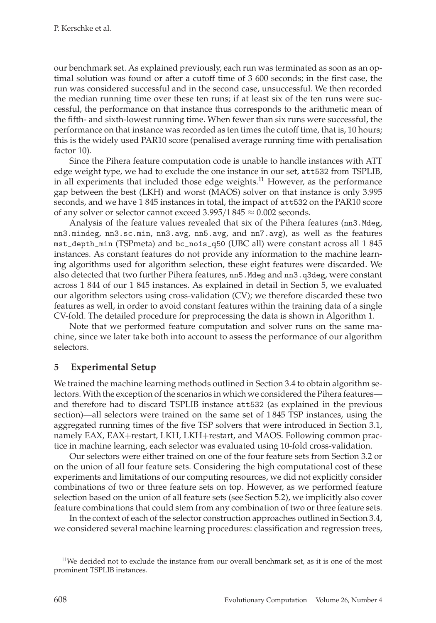our benchmark set. As explained previously, each run was terminated as soon as an optimal solution was found or after a cutoff time of 3 600 seconds; in the first case, the run was considered successful and in the second case, unsuccessful. We then recorded the median running time over these ten runs; if at least six of the ten runs were successful, the performance on that instance thus corresponds to the arithmetic mean of the fifth- and sixth-lowest running time. When fewer than six runs were successful, the performance on that instance was recorded as ten times the cutoff time, that is, 10 hours; this is the widely used PAR10 score (penalised average running time with penalisation factor 10).

Since the Pihera feature computation code is unable to handle instances with ATT edge weight type, we had to exclude the one instance in our set, att532 from TSPLIB, in all experiments that included those edge weights.<sup>11</sup> However, as the performance gap between the best (LKH) and worst (MAOS) solver on that instance is only 3.995 seconds, and we have 1 845 instances in total, the impact of att532 on the PAR10 score of any solver or selector cannot exceed 3*.*995*/*1 845 ≈ 0*.*002 seconds.

Analysis of the feature values revealed that six of the Pihera features (nn3.Mdeg, nn3.mindeg, nn3.sc.min, nn3.avg, nn5.avg, and nn7.avg), as well as the features mst\_depth\_min (TSPmeta) and bc\_no1s\_q50 (UBC all) were constant across all 1 845 instances. As constant features do not provide any information to the machine learning algorithms used for algorithm selection, these eight features were discarded. We also detected that two further Pihera features, nn5.Mdeg and nn3.q3deg, were constant across 1 844 of our 1 845 instances. As explained in detail in Section 5, we evaluated our algorithm selectors using cross-validation (CV); we therefore discarded these two features as well, in order to avoid constant features within the training data of a single CV-fold. The detailed procedure for preprocessing the data is shown in Algorithm 1.

Note that we performed feature computation and solver runs on the same machine, since we later take both into account to assess the performance of our algorithm selectors.

## **5 Experimental Setup**

We trained the machine learning methods outlined in Section 3.4 to obtain algorithm selectors. With the exception of the scenarios in which we considered the Pihera features and therefore had to discard TSPLIB instance att532 (as explained in the previous section)—all selectors were trained on the same set of 1 845 TSP instances, using the aggregated running times of the five TSP solvers that were introduced in Section 3.1, namely EAX, EAX+restart, LKH, LKH+restart, and MAOS. Following common practice in machine learning, each selector was evaluated using 10-fold cross-validation.

Our selectors were either trained on one of the four feature sets from Section 3.2 or on the union of all four feature sets. Considering the high computational cost of these experiments and limitations of our computing resources, we did not explicitly consider combinations of two or three feature sets on top. However, as we performed feature selection based on the union of all feature sets (see Section 5.2), we implicitly also cover feature combinations that could stem from any combination of two or three feature sets.

In the context of each of the selector construction approaches outlined in Section 3.4, we considered several machine learning procedures: classification and regression trees,

<sup>&</sup>lt;sup>11</sup>We decided not to exclude the instance from our overall benchmark set, as it is one of the most prominent TSPLIB instances.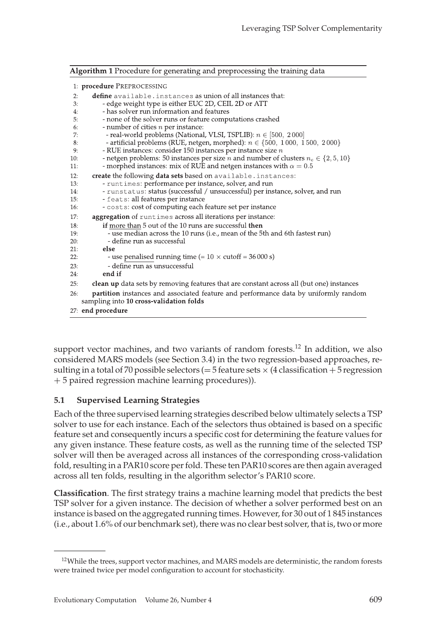|     | <b>Algorithm 1</b> Procedure for generating and preprocessing the training data                                                       |
|-----|---------------------------------------------------------------------------------------------------------------------------------------|
|     | 1: procedure PREPROCESSING                                                                                                            |
| 2:  | <b>define</b> available. instances as union of all instances that:                                                                    |
| 3:  | - edge weight type is either EUC 2D, CEIL 2D or ATT                                                                                   |
| 4:  | - has solver run information and features                                                                                             |
| 5:  | - none of the solver runs or feature computations crashed                                                                             |
| 6:  | - number of cities $n$ per instance:                                                                                                  |
| 7:  | - real-world problems (National, VLSI, TSPLIB): $n \in [500, 2000]$                                                                   |
| 8:  | - artificial problems (RUE, netgen, morphed): $n \in \{500, 1000, 1500, 2000\}$                                                       |
| 9:  | - RUE instances: consider 150 instances per instance size $n$                                                                         |
| 10: | - netgen problems: 50 instances per size <i>n</i> and number of clusters $n_c \in \{2, 5, 10\}$                                       |
| 11: | - morphed instances: mix of RUE and netgen instances with $\alpha=0.5$                                                                |
| 12: | create the following data sets based on available.instances:                                                                          |
| 13: | - runtimes: performance per instance, solver, and run                                                                                 |
| 14: | - runstatus: status (successful / unsuccessful) per instance, solver, and run                                                         |
| 15: | - feats: all features per instance                                                                                                    |
| 16: | - costs: cost of computing each feature set per instance                                                                              |
| 17: | aggregation of runtimes across all iterations per instance:                                                                           |
| 18: | <b>if</b> more than 5 out of the 10 runs are successful <b>then</b>                                                                   |
| 19: | - use median across the 10 runs (i.e., mean of the 5th and 6th fastest run)                                                           |
| 20: | - define run as successful                                                                                                            |
| 21: | else                                                                                                                                  |
| 22: | - use penalised running time (= $10 \times \text{cutoff} = 36000 \text{ s}$ )                                                         |
| 23: | - define run as unsuccessful                                                                                                          |
| 24: | end if                                                                                                                                |
| 25: | clean up data sets by removing features that are constant across all (but one) instances                                              |
| 26: | <b>partition</b> instances and associated feature and performance data by uniformly random<br>sampling into 10 cross-validation folds |
|     | 27: end procedure                                                                                                                     |

support vector machines, and two variants of random forests.<sup>12</sup> In addition, we also considered MARS models (see Section 3.4) in the two regression-based approaches, resulting in a total of 70 possible selectors ( $=$  5 feature sets  $\times$  (4 classification  $+$  5 regression + 5 paired regression machine learning procedures)).

## **5.1 Supervised Learning Strategies**

Each of the three supervised learning strategies described below ultimately selects a TSP solver to use for each instance. Each of the selectors thus obtained is based on a specific feature set and consequently incurs a specific cost for determining the feature values for any given instance. These feature costs, as well as the running time of the selected TSP solver will then be averaged across all instances of the corresponding cross-validation fold, resulting in a PAR10 score per fold. These ten PAR10 scores are then again averaged across all ten folds, resulting in the algorithm selector's PAR10 score.

**Classification**. The first strategy trains a machine learning model that predicts the best TSP solver for a given instance. The decision of whether a solver performed best on an instance is based on the aggregated running times. However, for 30 out of 1 845 instances (i.e., about 1*.*6% of our benchmark set), there was no clear best solver, that is, two or more

 $12$ While the trees, support vector machines, and MARS models are deterministic, the random forests were trained twice per model configuration to account for stochasticity.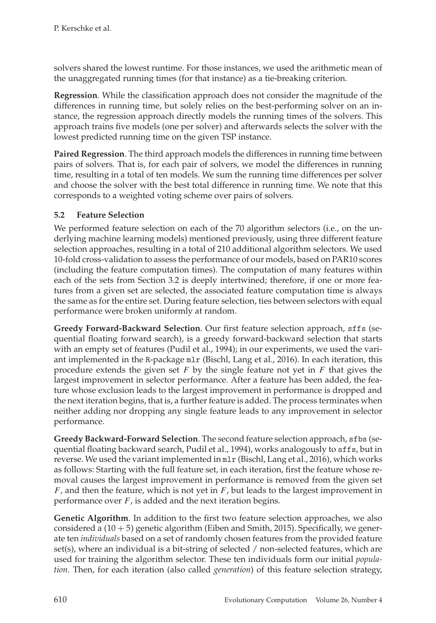solvers shared the lowest runtime. For those instances, we used the arithmetic mean of the unaggregated running times (for that instance) as a tie-breaking criterion.

**Regression**. While the classification approach does not consider the magnitude of the differences in running time, but solely relies on the best-performing solver on an instance, the regression approach directly models the running times of the solvers. This approach trains five models (one per solver) and afterwards selects the solver with the lowest predicted running time on the given TSP instance.

**Paired Regression**. The third approach models the differences in running time between pairs of solvers. That is, for each pair of solvers, we model the differences in running time, resulting in a total of ten models. We sum the running time differences per solver and choose the solver with the best total difference in running time. We note that this corresponds to a weighted voting scheme over pairs of solvers.

## **5.2 Feature Selection**

We performed feature selection on each of the 70 algorithm selectors (i.e., on the underlying machine learning models) mentioned previously, using three different feature selection approaches, resulting in a total of 210 additional algorithm selectors. We used 10-fold cross-validation to assess the performance of our models, based on PAR10 scores (including the feature computation times). The computation of many features within each of the sets from Section 3.2 is deeply intertwined; therefore, if one or more features from a given set are selected, the associated feature computation time is always the same as for the entire set. During feature selection, ties between selectors with equal performance were broken uniformly at random.

**Greedy Forward-Backward Selection**. Our first feature selection approach, sffs (sequential floating forward search), is a greedy forward-backward selection that starts with an empty set of features (Pudil et al., [1994\)](#page-22-0); in our experiments, we used the variant implemented in the R-package mlr (Bischl, Lang et al., [2016\)](#page-20-0). In each iteration, this procedure extends the given set *F* by the single feature not yet in *F* that gives the largest improvement in selector performance. After a feature has been added, the feature whose exclusion leads to the largest improvement in performance is dropped and the next iteration begins, that is, a further feature is added. The process terminates when neither adding nor dropping any single feature leads to any improvement in selector performance.

**Greedy Backward-Forward Selection**. The second feature selection approach, sfbs (sequential floating backward search, Pudil et al., [1994\)](#page-22-0), works analogously to sffs, but in reverse. We used the variant implemented in mlr (Bischl, Lang et al., [2016\)](#page-20-0), which works as follows: Starting with the full feature set, in each iteration, first the feature whose removal causes the largest improvement in performance is removed from the given set *F*, and then the feature, which is not yet in *F*, but leads to the largest improvement in performance over *F*, is added and the next iteration begins.

**Genetic Algorithm**. In addition to the first two feature selection approaches, we also considered a  $(10 + 5)$  genetic algorithm (Eiben and Smith, [2015\)](#page-21-0). Specifically, we generate ten *individuals* based on a set of randomly chosen features from the provided feature set(s), where an individual is a bit-string of selected / non-selected features, which are used for training the algorithm selector. These ten individuals form our initial *population*. Then, for each iteration (also called *generation*) of this feature selection strategy,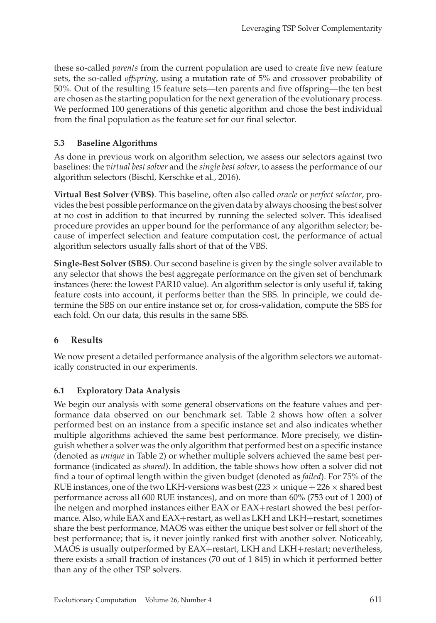these so-called *parents* from the current population are used to create five new feature sets, the so-called *offspring*, using a mutation rate of 5% and crossover probability of 50%. Out of the resulting 15 feature sets—ten parents and five offspring—the ten best are chosen as the starting population for the next generation of the evolutionary process. We performed 100 generations of this genetic algorithm and chose the best individual from the final population as the feature set for our final selector.

# **5.3 Baseline Algorithms**

As done in previous work on algorithm selection, we assess our selectors against two baselines: the *virtual best solver* and the *single best solver*, to assess the performance of our algorithm selectors (Bischl, Kerschke et al., 2016).

**Virtual Best Solver (VBS)**. This baseline, often also called *oracle* or *perfect selector*, provides the best possible performance on the given data by always choosing the best solver at no cost in addition to that incurred by running the selected solver. This idealised procedure provides an upper bound for the performance of any algorithm selector; because of imperfect selection and feature computation cost, the performance of actual algorithm selectors usually falls short of that of the VBS.

**Single-Best Solver (SBS)**. Our second baseline is given by the single solver available to any selector that shows the best aggregate performance on the given set of benchmark instances (here: the lowest PAR10 value). An algorithm selector is only useful if, taking feature costs into account, it performs better than the SBS. In principle, we could determine the SBS on our entire instance set or, for cross-validation, compute the SBS for each fold. On our data, this results in the same SBS.

# **6 Results**

We now present a detailed performance analysis of the algorithm selectors we automatically constructed in our experiments.

# **6.1 Exploratory Data Analysis**

We begin our analysis with some general observations on the feature values and performance data observed on our benchmark set. Table 2 shows how often a solver performed best on an instance from a specific instance set and also indicates whether multiple algorithms achieved the same best performance. More precisely, we distinguish whether a solver was the only algorithm that performed best on a specific instance (denoted as *unique* in Table 2) or whether multiple solvers achieved the same best performance (indicated as *shared*). In addition, the table shows how often a solver did not find a tour of optimal length within the given budget (denoted as *failed*). For 75% of the RUE instances, one of the two LKH-versions was best  $(223 \times unique + 226 \times shared$  best performance across all 600 RUE instances), and on more than 60% (753 out of 1 200) of the netgen and morphed instances either EAX or EAX+restart showed the best performance. Also, while EAX and EAX+restart, as well as LKH and LKH+restart, sometimes share the best performance, MAOS was either the unique best solver or fell short of the best performance; that is, it never jointly ranked first with another solver. Noticeably, MAOS is usually outperformed by EAX+restart, LKH and LKH+restart; nevertheless, there exists a small fraction of instances (70 out of 1 845) in which it performed better than any of the other TSP solvers.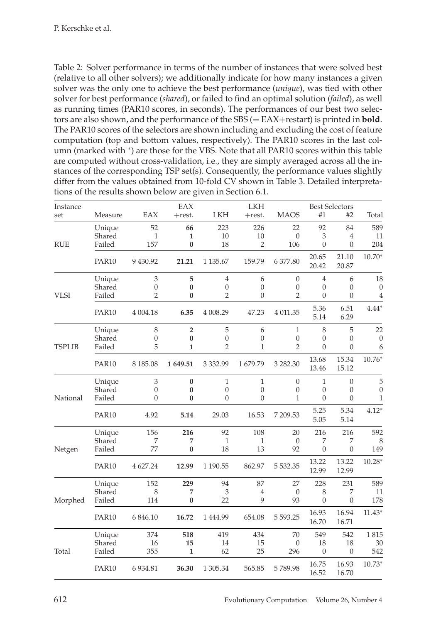Table 2: Solver performance in terms of the number of instances that were solved best (relative to all other solvers); we additionally indicate for how many instances a given solver was the only one to achieve the best performance (*unique*), was tied with other solver for best performance (*shared*), or failed to find an optimal solution (*failed*), as well as running times (PAR10 scores, in seconds). The performances of our best two selectors are also shown, and the performance of the SBS (= EAX+restart) is printed in **bold**. The PAR10 scores of the selectors are shown including and excluding the cost of feature computation (top and bottom values, respectively). The PAR10 scores in the last column (marked with <sup>∗</sup>) are those for the VBS. Note that all PAR10 scores within this table are computed without cross-validation, i.e., they are simply averaged across all the instances of the corresponding TSP set(s). Consequently, the performance values slightly differ from the values obtained from 10-fold CV shown in Table 3. Detailed interpretations of the results shown below are given in Section 6.1.

| Instance      |                   |                  | EAX            |                | <b>LKH</b>     |                  | <b>Best Selectors</b> |                  |                |
|---------------|-------------------|------------------|----------------|----------------|----------------|------------------|-----------------------|------------------|----------------|
| set           | Measure           | EAX              | $+$ rest.      | <b>LKH</b>     | $+$ rest.      | <b>MAOS</b>      | #1                    | #2               | Total          |
|               | Unique            | 52               | 66             | 223            | 226            | 22               | 92                    | 84               | 589            |
|               | Shared            | 1                | 1              | 10             | 10             | $\overline{0}$   | 3                     | $\overline{4}$   | 11             |
| <b>RUE</b>    | Failed            | 157              | $\bf{0}$       | 18             | $\overline{2}$ | 106              | $\overline{0}$        | $\theta$         | 204            |
|               | PAR10             | 9 430.92         | 21.21          | 1 1 3 5 . 6 7  | 159.79         | 6 377.80         | 20.65<br>20.42        | 21.10<br>20.87   | $10.70*$       |
|               | Unique            | 3                | 5              | 4              | 6              | $\overline{0}$   | 4                     | 6                | 18             |
|               | Shared            | $\boldsymbol{0}$ | $\bf{0}$       | $\mathbf{0}$   | $\mathbf{0}$   | $\mathbf{0}$     | $\theta$              | $\theta$         | $\theta$       |
| <b>VLSI</b>   | Failed            | $\overline{2}$   | $\bf{0}$       | $\overline{2}$ | $\overline{0}$ | $\overline{2}$   | $\overline{0}$        | $\mathbf{0}$     | $\overline{4}$ |
|               | PAR10             | 4 004.18         | 6.35           | 4 008.29       | 47.23          | 4 011.35         | 5.36<br>5.14          | 6.51<br>6.29     | $4.44*$        |
|               | Unique            | 8                | $\overline{2}$ | 5              | 6              | $\mathbf{1}$     | $\,$ 8 $\,$           | 5                | 22             |
|               | Shared            | $\boldsymbol{0}$ | 0              | $\mathbf{0}$   | $\mathbf{0}$   | $\overline{0}$   | $\theta$              | $\theta$         | $\theta$       |
| <b>TSPLIB</b> | Failed            | 5                | $\mathbf{1}$   | $\overline{2}$ | $\mathbf{1}$   | $\overline{2}$   | $\overline{0}$        | $\theta$         | 6              |
|               | PAR10             | 8 185.08         | 1649.51        | 3 3 3 2.99     | 1679.79        | 3 282.30         | 13.68<br>13.46        | 15.34<br>15.12   | $10.76*$       |
|               | Unique            | 3                | $\bf{0}$       | $\mathbf{1}$   | $\mathbf{1}$   | $\boldsymbol{0}$ | $\mathbf{1}$          | $\theta$         | 5              |
|               | Shared            | $\overline{0}$   | $\bf{0}$       | $\mathbf{0}$   | $\mathbf{0}$   | $\mathbf{0}$     | $\overline{0}$        | $\theta$         | $\mathbf{0}$   |
| National      | Failed            | $\overline{0}$   | 0              | $\overline{0}$ | $\theta$       | $\mathbf{1}$     | $\overline{0}$        | $\theta$         | 1              |
|               | PAR10             | 4.92             | 5.14           | 29.03          | 16.53          | 7 209.53         | 5.25<br>5.05          | 5.34<br>5.14     | $4.12*$        |
|               | Unique            | 156              | 216            | 92             | 108            | 20               | 216                   | 216              | 592            |
|               | Shared            | 7                | 7              | 1              | 1              | $\overline{0}$   | 7                     | 7                | 8              |
| Netgen        | Failed            | 77               | $\bf{0}$       | 18             | 13             | 92               | $\overline{0}$        | $\mathbf{0}$     | 149            |
|               | PAR10             | 4 627.24         | 12.99          | 1 190.55       | 862.97         | 5 532.35         | 13.22<br>12.99        | 13.22<br>12.99   | $10.28*$       |
|               | Unique            | 152              | 229            | 94             | 87             | 27               | 228                   | 231              | 589            |
|               | Shared            | 8                | 7              | 3              | 4              | $\overline{0}$   | 8                     | 7                | 11             |
| Morphed       | Failed            | 114              | $\bf{0}$       | 22             | 9              | 93               | $\overline{0}$        | $\mathbf{0}$     | 178            |
|               | PAR <sub>10</sub> | 6 8 4 6.10       | 16.72          | 1444.99        | 654.08         | 5 593.25         | 16.93<br>16.70        | 16.94<br>16.71   | $11.43*$       |
|               | Unique            | 374              | 518            | 419            | 434            | 70               | 549                   | 542              | 1815           |
|               | Shared            | 16               | 15             | 14             | 15             | $\theta$         | 18                    | 18               | 30             |
| Total         | Failed            | 355              | 1              | 62             | 25             | 296              | 0                     | $\boldsymbol{0}$ | 542            |
|               | PAR <sub>10</sub> | 6 9 3 4.81       | 36.30          | 1 305.34       | 565.85         | 5789.98          | 16.75<br>16.52        | 16.93<br>16.70   | $10.73*$       |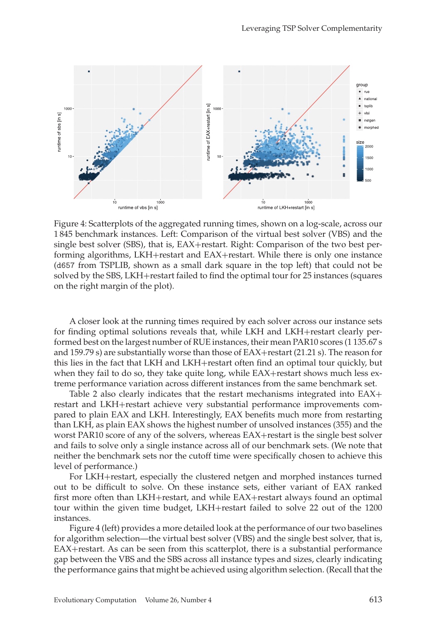

Figure 4: Scatterplots of the aggregated running times, shown on a log-scale, across our 1 845 benchmark instances. Left: Comparison of the virtual best solver (VBS) and the single best solver (SBS), that is, EAX+restart. Right: Comparison of the two best performing algorithms, LKH+restart and EAX+restart. While there is only one instance (d657 from TSPLIB, shown as a small dark square in the top left) that could not be solved by the SBS, LKH+restart failed to find the optimal tour for 25 instances (squares on the right margin of the plot).

A closer look at the running times required by each solver across our instance sets for finding optimal solutions reveals that, while LKH and LKH+restart clearly performed best on the largest number of RUE instances, their mean PAR10 scores (1 135.67 s and 159.79 s) are substantially worse than those of EAX+restart (21.21 s). The reason for this lies in the fact that LKH and LKH+restart often find an optimal tour quickly, but when they fail to do so, they take quite long, while EAX+restart shows much less extreme performance variation across different instances from the same benchmark set.

Table 2 also clearly indicates that the restart mechanisms integrated into EAX+ restart and LKH+restart achieve very substantial performance improvements compared to plain EAX and LKH. Interestingly, EAX benefits much more from restarting than LKH, as plain EAX shows the highest number of unsolved instances (355) and the worst PAR10 score of any of the solvers, whereas EAX+restart is the single best solver and fails to solve only a single instance across all of our benchmark sets. (We note that neither the benchmark sets nor the cutoff time were specifically chosen to achieve this level of performance.)

For LKH+restart, especially the clustered netgen and morphed instances turned out to be difficult to solve. On these instance sets, either variant of EAX ranked first more often than LKH+restart, and while EAX+restart always found an optimal tour within the given time budget, LKH+restart failed to solve 22 out of the 1200 instances.

Figure 4 (left) provides a more detailed look at the performance of our two baselines for algorithm selection—the virtual best solver (VBS) and the single best solver, that is, EAX+restart. As can be seen from this scatterplot, there is a substantial performance gap between the VBS and the SBS across all instance types and sizes, clearly indicating the performance gains that might be achieved using algorithm selection. (Recall that the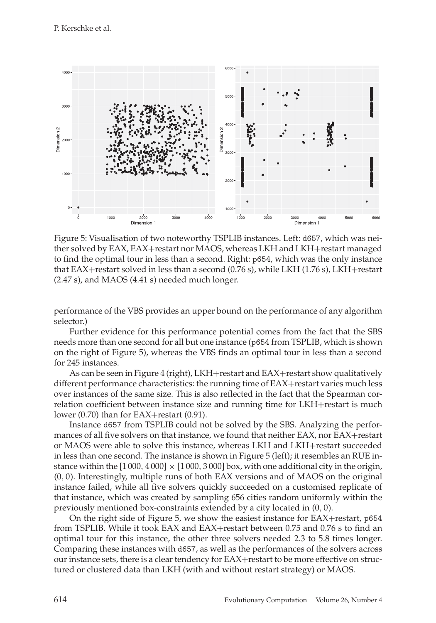

Figure 5: Visualisation of two noteworthy TSPLIB instances. Left: d657, which was neither solved by EAX, EAX+restart nor MAOS, whereas LKH and LKH+restart managed to find the optimal tour in less than a second. Right: p654, which was the only instance that EAX+restart solved in less than a second (0.76 s), while LKH (1.76 s), LKH+restart (2.47 s), and MAOS (4.41 s) needed much longer.

performance of the VBS provides an upper bound on the performance of any algorithm selector.)

Further evidence for this performance potential comes from the fact that the SBS needs more than one second for all but one instance (p654 from TSPLIB, which is shown on the right of Figure 5), whereas the VBS finds an optimal tour in less than a second for 245 instances.

As can be seen in Figure 4 (right), LKH+restart and EAX+restart show qualitatively different performance characteristics: the running time of EAX+restart varies much less over instances of the same size. This is also reflected in the fact that the Spearman correlation coefficient between instance size and running time for LKH+restart is much lower (0.70) than for EAX+restart (0.91).

Instance d657 from TSPLIB could not be solved by the SBS. Analyzing the performances of all five solvers on that instance, we found that neither EAX, nor EAX+restart or MAOS were able to solve this instance, whereas LKH and LKH+restart succeeded in less than one second. The instance is shown in Figure 5 (left); it resembles an RUE instance within the  $[1\,000, 4\,000] \times [1\,000, 3\,000]$  box, with one additional city in the origin, (0*,* 0). Interestingly, multiple runs of both EAX versions and of MAOS on the original instance failed, while all five solvers quickly succeeded on a customised replicate of that instance, which was created by sampling 656 cities random uniformly within the previously mentioned box-constraints extended by a city located in (0*,* 0).

On the right side of Figure 5, we show the easiest instance for EAX+restart, p654 from TSPLIB. While it took EAX and EAX+restart between 0.75 and 0.76 s to find an optimal tour for this instance, the other three solvers needed 2.3 to 5.8 times longer. Comparing these instances with d657, as well as the performances of the solvers across our instance sets, there is a clear tendency for EAX+restart to be more effective on structured or clustered data than LKH (with and without restart strategy) or MAOS.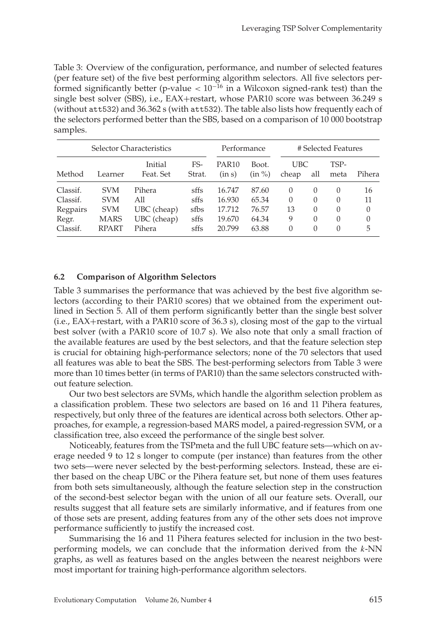Table 3: Overview of the configuration, performance, and number of selected features (per feature set) of the five best performing algorithm selectors. All five selectors performed significantly better (p-value *<* 10<sup>−</sup><sup>16</sup> in a Wilcoxon signed-rank test) than the single best solver (SBS), i.e., EAX+restart, whose PAR10 score was between 36.249 s (without att532) and 36.362 s (with att532). The table also lists how frequently each of the selectors performed better than the SBS, based on a comparison of 10 000 bootstrap samples.

| <b>Selector Characteristics</b> |                             |                       |               | Performance                 |                 | # Selected Features |                      |                      |               |  |
|---------------------------------|-----------------------------|-----------------------|---------------|-----------------------------|-----------------|---------------------|----------------------|----------------------|---------------|--|
| Method                          | Learner.                    | Initial<br>Feat. Set  | FS-<br>Strat. | PAR <sub>10</sub><br>(in s) | Boot.<br>(in %) | UBC.<br>cheap       | all                  | TSP-<br>meta         | Pihera        |  |
| Classif.                        | <b>SVM</b>                  | Pihera                | sffs          | 16.747                      | 87.60           | 0                   | $\Omega$             | $\Omega$             | 16            |  |
| Classif.                        | <b>SVM</b>                  | All                   | sffs          | 16.930                      | 65.34           | $\theta$            | $\Omega$             | $\Omega$             | 11            |  |
| Regpairs                        | <b>SVM</b>                  | UBC (cheap)           | sfbs          | 17.712                      | 76.57           | 13                  | $\Omega$             | $\Omega$             | 0             |  |
| Regr.<br>Classif.               | <b>MARS</b><br><b>RPART</b> | UBC (cheap)<br>Pihera | sffs<br>sffs  | 19.670<br>20.799            | 64.34<br>63.88  | 9<br>0              | $\Omega$<br>$\Omega$ | $\Omega$<br>$\Omega$ | $\theta$<br>5 |  |

## **6.2 Comparison of Algorithm Selectors**

Table 3 summarises the performance that was achieved by the best five algorithm selectors (according to their PAR10 scores) that we obtained from the experiment outlined in Section 5. All of them perform significantly better than the single best solver (i.e., EAX+restart, with a PAR10 score of 36.3 s), closing most of the gap to the virtual best solver (with a PAR10 score of 10.7 s). We also note that only a small fraction of the available features are used by the best selectors, and that the feature selection step is crucial for obtaining high-performance selectors; none of the 70 selectors that used all features was able to beat the SBS. The best-performing selectors from Table 3 were more than 10 times better (in terms of PAR10) than the same selectors constructed without feature selection.

Our two best selectors are SVMs, which handle the algorithm selection problem as a classification problem. These two selectors are based on 16 and 11 Pihera features, respectively, but only three of the features are identical across both selectors. Other approaches, for example, a regression-based MARS model, a paired-regression SVM, or a classification tree, also exceed the performance of the single best solver.

Noticeably, features from the TSPmeta and the full UBC feature sets—which on average needed 9 to 12 s longer to compute (per instance) than features from the other two sets—were never selected by the best-performing selectors. Instead, these are either based on the cheap UBC or the Pihera feature set, but none of them uses features from both sets simultaneously, although the feature selection step in the construction of the second-best selector began with the union of all our feature sets. Overall, our results suggest that all feature sets are similarly informative, and if features from one of those sets are present, adding features from any of the other sets does not improve performance sufficiently to justify the increased cost.

Summarising the 16 and 11 Pihera features selected for inclusion in the two bestperforming models, we can conclude that the information derived from the *k*-NN graphs, as well as features based on the angles between the nearest neighbors were most important for training high-performance algorithm selectors.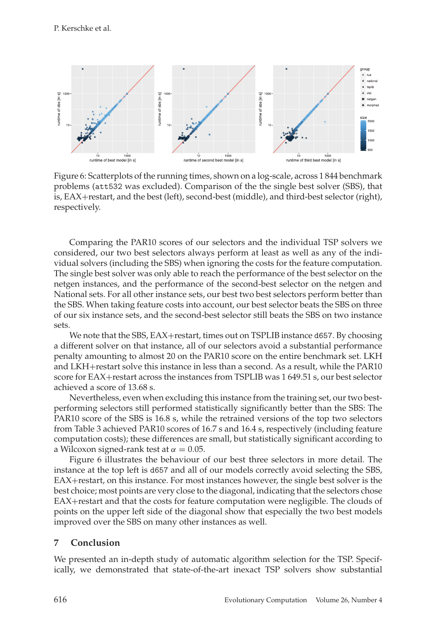

Figure 6: Scatterplots of the running times, shown on a log-scale, across 1 844 benchmark problems (att532 was excluded). Comparison of the the single best solver (SBS), that is, EAX+restart, and the best (left), second-best (middle), and third-best selector (right), respectively.

Comparing the PAR10 scores of our selectors and the individual TSP solvers we considered, our two best selectors always perform at least as well as any of the individual solvers (including the SBS) when ignoring the costs for the feature computation. The single best solver was only able to reach the performance of the best selector on the netgen instances, and the performance of the second-best selector on the netgen and National sets. For all other instance sets, our best two best selectors perform better than the SBS. When taking feature costs into account, our best selector beats the SBS on three of our six instance sets, and the second-best selector still beats the SBS on two instance sets.

We note that the SBS, EAX+restart, times out on TSPLIB instance d657. By choosing a different solver on that instance, all of our selectors avoid a substantial performance penalty amounting to almost 20 on the PAR10 score on the entire benchmark set. LKH and LKH+restart solve this instance in less than a second. As a result, while the PAR10 score for EAX+restart across the instances from TSPLIB was 1 649.51 s, our best selector achieved a score of 13.68 s.

Nevertheless, even when excluding this instance from the training set, our two bestperforming selectors still performed statistically significantly better than the SBS: The PAR10 score of the SBS is 16.8 s, while the retrained versions of the top two selectors from Table 3 achieved PAR10 scores of 16.7 s and 16.4 s, respectively (including feature computation costs); these differences are small, but statistically significant according to a Wilcoxon signed-rank test at  $\alpha = 0.05$ .

Figure 6 illustrates the behaviour of our best three selectors in more detail. The instance at the top left is d657 and all of our models correctly avoid selecting the SBS, EAX+restart, on this instance. For most instances however, the single best solver is the best choice; most points are very close to the diagonal, indicating that the selectors chose EAX+restart and that the costs for feature computation were negligible. The clouds of points on the upper left side of the diagonal show that especially the two best models improved over the SBS on many other instances as well.

# **7 Conclusion**

We presented an in-depth study of automatic algorithm selection for the TSP. Specifically, we demonstrated that state-of-the-art inexact TSP solvers show substantial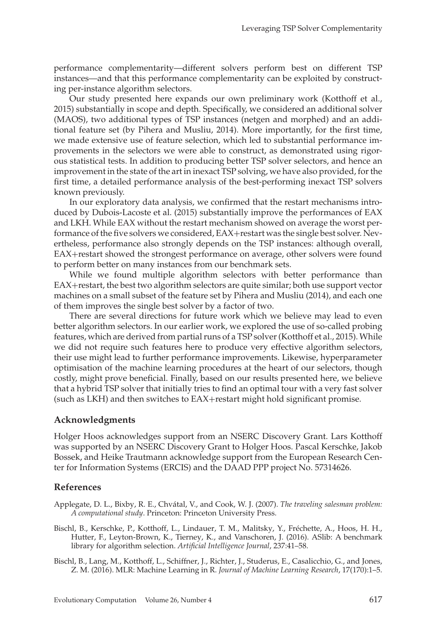<span id="page-20-0"></span>performance complementarity—different solvers perform best on different TSP instances—and that this performance complementarity can be exploited by constructing per-instance algorithm selectors.

Our study presented here expands our own preliminary work (Kotthoff et al., [2015\)](#page-21-0) substantially in scope and depth. Specifically, we considered an additional solver (MAOS), two additional types of TSP instances (netgen and morphed) and an additional feature set (by Pihera and Musliu, [2014\)](#page-22-0). More importantly, for the first time, we made extensive use of feature selection, which led to substantial performance improvements in the selectors we were able to construct, as demonstrated using rigorous statistical tests. In addition to producing better TSP solver selectors, and hence an improvement in the state of the art in inexact TSP solving, we have also provided, for the first time, a detailed performance analysis of the best-performing inexact TSP solvers known previously.

In our exploratory data analysis, we confirmed that the restart mechanisms introduced by Dubois-Lacoste et al. [\(2015\)](#page-21-0) substantially improve the performances of EAX and LKH. While EAX without the restart mechanism showed on average the worst performance of the five solvers we considered, EAX+restart was the single best solver. Nevertheless, performance also strongly depends on the TSP instances: although overall, EAX+restart showed the strongest performance on average, other solvers were found to perform better on many instances from our benchmark sets.

While we found multiple algorithm selectors with better performance than EAX+restart, the best two algorithm selectors are quite similar; both use support vector machines on a small subset of the feature set by Pihera and Musliu [\(2014\)](#page-22-0), and each one of them improves the single best solver by a factor of two.

There are several directions for future work which we believe may lead to even better algorithm selectors. In our earlier work, we explored the use of so-called probing features, which are derived from partial runs of a TSP solver (Kotthoff et al., [2015\)](#page-21-0). While we did not require such features here to produce very effective algorithm selectors, their use might lead to further performance improvements. Likewise, hyperparameter optimisation of the machine learning procedures at the heart of our selectors, though costly, might prove beneficial. Finally, based on our results presented here, we believe that a hybrid TSP solver that initially tries to find an optimal tour with a very fast solver (such as LKH) and then switches to EAX+restart might hold significant promise.

#### **Acknowledgments**

Holger Hoos acknowledges support from an NSERC Discovery Grant. Lars Kotthoff was supported by an NSERC Discovery Grant to Holger Hoos. Pascal Kerschke, Jakob Bossek, and Heike Trautmann acknowledge support from the European Research Center for Information Systems (ERCIS) and the DAAD PPP project No. 57314626.

## **References**

Applegate, D. L., Bixby, R. E., Chvátal, V., and Cook, W. J. (2007). *The traveling salesman problem: A computational study*. Princeton: Princeton University Press.

- Bischl, B., Kerschke, P., Kotthoff, L., Lindauer, T. M., Malitsky, Y., Fréchette, A., Hoos, H. H., Hutter, F., Leyton-Brown, K., Tierney, K., and Vanschoren, J. (2016). ASlib: A benchmark library for algorithm selection. *Artificial Intelligence Journal*, 237:41–58.
- Bischl, B., Lang, M., Kotthoff, L., Schiffner, J., Richter, J., Studerus, E., Casalicchio, G., and Jones, Z. M. (2016). MLR: Machine Learning in R. *Journal of Machine Learning Research*, 17(170):1–5.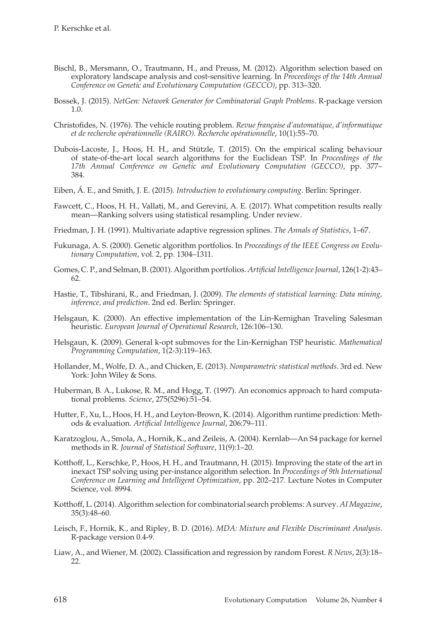- <span id="page-21-0"></span>Bischl, B., Mersmann, O., Trautmann, H., and Preuss, M. (2012). Algorithm selection based on exploratory landscape analysis and cost-sensitive learning. In *Proceedings of the 14th Annual Conference on Genetic and Evolutionary Computation (GECCO)*, pp. 313–320.
- Bossek, J. (2015). *NetGen: Network Generator for Combinatorial Graph Problems*. R-package version 1.0.
- Christofides, N. (1976). The vehicle routing problem. *Revue française d'automatique, d'informatique et de recherche opérationnelle (RAIRO). Recherche opérationnelle*, 10(1):55–70.
- Dubois-Lacoste, J., Hoos, H. H., and Stützle, T. (2015). On the empirical scaling behaviour of state-of-the-art local search algorithms for the Euclidean TSP. In *Proceedings of the 17th Annual Conference on Genetic and Evolutionary Computation (GECCO)*, pp. 377– 384.
- Eiben, Á. E., and Smith, J. E. (2015). *Introduction to evolutionary computing*. Berlin: Springer.
- Fawcett, C., Hoos, H. H., Vallati, M., and Gerevini, A. E. (2017). What competition results really mean—Ranking solvers using statistical resampling. Under review.
- Friedman, J. H. (1991). Multivariate adaptive regression splines. *The Annals of Statistics*, 1–67.
- Fukunaga, A. S. (2000). Genetic algorithm portfolios. In *Proceedings of the IEEE Congress on Evolutionary Computation*, vol. 2, pp. 1304–1311.
- Gomes, C. P., and Selman, B. (2001). Algorithm portfolios. *Artificial Intelligence Journal*, 126(1-2):43– 62.
- Hastie, T., Tibshirani, R., and Friedman, J. (2009). *The elements of statistical learning: Data mining, inference, and prediction*. 2nd ed. Berlin: Springer.
- Helsgaun, K. (2000). An effective implementation of the Lin-Kernighan Traveling Salesman heuristic. *European Journal of Operational Research*, 126:106–130.
- Helsgaun, K. (2009). General k-opt submoves for the Lin-Kernighan TSP heuristic. *Mathematical Programming Computation*, 1(2-3):119–163.
- Hollander, M., Wolfe, D. A., and Chicken, E. (2013). *Nonparametric statistical methods*. 3rd ed. New York: John Wiley & Sons.
- Huberman, B. A., Lukose, R. M., and Hogg, T. (1997). An economics approach to hard computational problems. *Science*, 275(5296):51–54.
- Hutter, F., Xu, L., Hoos, H. H., and Leyton-Brown, K. (2014). Algorithm runtime prediction: Methods & evaluation. *Artificial Intelligence Journal*, 206:79–111.
- Karatzoglou, A., Smola, A., Hornik, K., and Zeileis, A. (2004). Kernlab—An S4 package for kernel methods in R. *Journal of Statistical Software*, 11(9):1–20.
- Kotthoff, L., Kerschke, P., Hoos, H. H., and Trautmann, H. (2015). Improving the state of the art in inexact TSP solving using per-instance algorithm selection. In *Proceedings of 9th International Conference on Learning and Intelligent Optimization*, pp. 202–217. Lecture Notes in Computer Science, vol. 8994.
- Kotthoff, L. (2014). Algorithm selection for combinatorial search problems: A survey. *AI Magazine*, 35(3):48–60.
- Leisch, F., Hornik, K., and Ripley, B. D. (2016). *MDA: Mixture and Flexible Discriminant Analysis*. R-package version 0.4-9.
- Liaw, A., and Wiener, M. (2002). Classification and regression by random Forest. *R News*, 2(3):18– 22.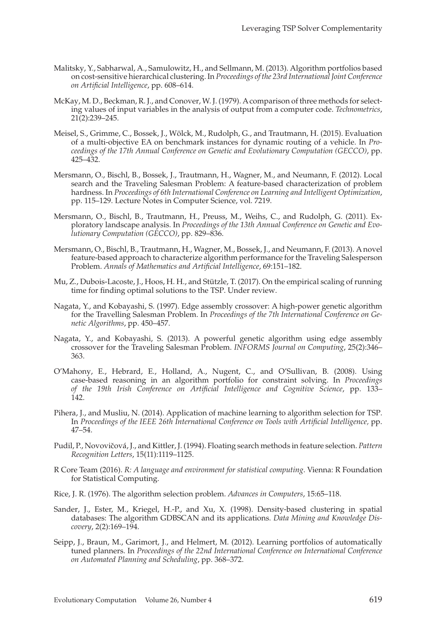- <span id="page-22-0"></span>Malitsky, Y., Sabharwal, A., Samulowitz, H., and Sellmann, M. (2013). Algorithm portfolios based on cost-sensitive hierarchical clustering. In *Proceedings of the 23rd International Joint Conference on Artificial Intelligence*, pp. 608–614.
- McKay, M. D., Beckman, R. J., and Conover, W. J. (1979). A comparison of three methods for selecting values of input variables in the analysis of output from a computer code. *Technometrics*, 21(2):239–245.
- Meisel, S., Grimme, C., Bossek, J., Wölck, M., Rudolph, G., and Trautmann, H. (2015). Evaluation of a multi-objective EA on benchmark instances for dynamic routing of a vehicle. In *Proceedings of the 17th Annual Conference on Genetic and Evolutionary Computation (GECCO)*, pp. 425–432.
- Mersmann, O., Bischl, B., Bossek, J., Trautmann, H., Wagner, M., and Neumann, F. (2012). Local search and the Traveling Salesman Problem: A feature-based characterization of problem hardness. In *Proceedings of 6th International Conference on Learning and Intelligent Optimization*, pp. 115–129. Lecture Notes in Computer Science, vol. 7219.
- Mersmann, O., Bischl, B., Trautmann, H., Preuss, M., Weihs, C., and Rudolph, G. (2011). Exploratory landscape analysis. In *Proceedings of the 13th Annual Conference on Genetic and Evolutionary Computation (GECCO)*, pp. 829–836.
- Mersmann, O., Bischl, B., Trautmann, H., Wagner, M., Bossek, J., and Neumann, F. (2013). A novel feature-based approach to characterize algorithm performance for the Traveling Salesperson Problem. *Annals of Mathematics and Artificial Intelligence*, 69:151–182.
- Mu, Z., Dubois-Lacoste, J., Hoos, H. H., and Stützle, T. (2017). On the empirical scaling of running time for finding optimal solutions to the TSP. Under review.
- Nagata, Y., and Kobayashi, S. (1997). Edge assembly crossover: A high-power genetic algorithm for the Travelling Salesman Problem. In *Proceedings of the 7th International Conference on Genetic Algorithms*, pp. 450–457.
- Nagata, Y., and Kobayashi, S. (2013). A powerful genetic algorithm using edge assembly crossover for the Traveling Salesman Problem. *INFORMS Journal on Computing*, 25(2):346– 363.
- O'Mahony, E., Hebrard, E., Holland, A., Nugent, C., and O'Sullivan, B. (2008). Using case-based reasoning in an algorithm portfolio for constraint solving. In *Proceedings of the 19th Irish Conference on Artificial Intelligence and Cognitive Science*, pp. 133– 142.
- Pihera, J., and Musliu, N. (2014). Application of machine learning to algorithm selection for TSP. In *Proceedings of the IEEE 26th International Conference on Tools with Artificial Intelligence,* pp. 47–54.
- Pudil, P., Novovičová, J., and Kittler, J. (1994). Floating search methods in feature selection. *Pattern Recognition Letters*, 15(11):1119–1125.
- R Core Team (2016). *R: A language and environment for statistical computing*. Vienna: R Foundation for Statistical Computing.
- Rice, J. R. (1976). The algorithm selection problem. *Advances in Computers*, 15:65–118.
- Sander, J., Ester, M., Kriegel, H.-P., and Xu, X. (1998). Density-based clustering in spatial databases: The algorithm GDBSCAN and its applications. *Data Mining and Knowledge Discovery*, 2(2):169–194.
- Seipp, J., Braun, M., Garimort, J., and Helmert, M. (2012). Learning portfolios of automatically tuned planners. In *Proceedings of the 22nd International Conference on International Conference on Automated Planning and Scheduling*, pp. 368–372.